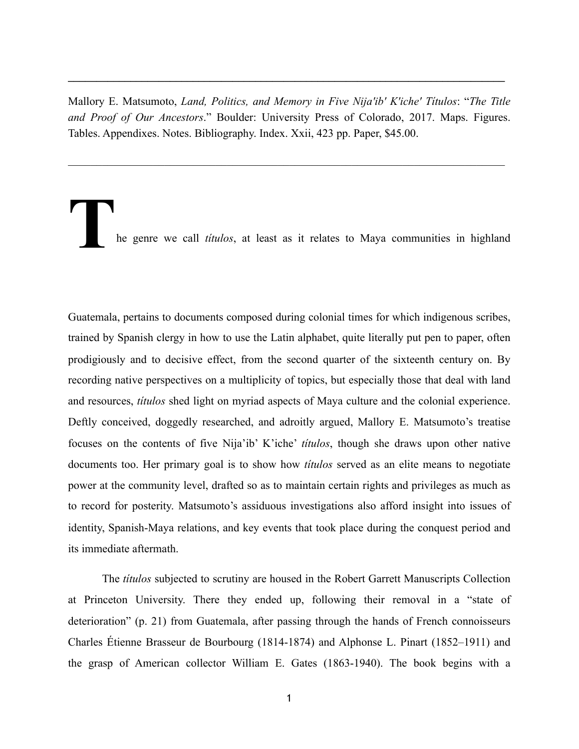Mallory E. Matsumoto, *Land, Politics, and Memory in Five Nija'ib' K'iche' Títulos*: "*The Title and Proof of Our Ancestors*." Boulder: University Press of Colorado, 2017. Maps. Figures. Tables. Appendixes. Notes. Bibliography. Index. Xxii, 423 pp. Paper, \$45.00.

 $\mathcal{L}_\mathcal{L} = \{ \mathcal{L}_\mathcal{L} = \{ \mathcal{L}_\mathcal{L} = \{ \mathcal{L}_\mathcal{L} = \{ \mathcal{L}_\mathcal{L} = \{ \mathcal{L}_\mathcal{L} = \{ \mathcal{L}_\mathcal{L} = \{ \mathcal{L}_\mathcal{L} = \{ \mathcal{L}_\mathcal{L} = \{ \mathcal{L}_\mathcal{L} = \{ \mathcal{L}_\mathcal{L} = \{ \mathcal{L}_\mathcal{L} = \{ \mathcal{L}_\mathcal{L} = \{ \mathcal{L}_\mathcal{L} = \{ \mathcal{L}_\mathcal{$ 

 $\mathcal{L}_\mathcal{L} = \{ \mathcal{L}_\mathcal{L} = \{ \mathcal{L}_\mathcal{L} = \{ \mathcal{L}_\mathcal{L} = \{ \mathcal{L}_\mathcal{L} = \{ \mathcal{L}_\mathcal{L} = \{ \mathcal{L}_\mathcal{L} = \{ \mathcal{L}_\mathcal{L} = \{ \mathcal{L}_\mathcal{L} = \{ \mathcal{L}_\mathcal{L} = \{ \mathcal{L}_\mathcal{L} = \{ \mathcal{L}_\mathcal{L} = \{ \mathcal{L}_\mathcal{L} = \{ \mathcal{L}_\mathcal{L} = \{ \mathcal{L}_\mathcal{$ 

**T**he genre we call *títulos*, at least as it relates to Maya communities in highland

Guatemala, pertains to documents composed during colonial times for which indigenous scribes, trained by Spanish clergy in how to use the Latin alphabet, quite literally put pen to paper, often prodigiously and to decisive effect, from the second quarter of the sixteenth century on. By recording native perspectives on a multiplicity of topics, but especially those that deal with land and resources, *títulos* shed light on myriad aspects of Maya culture and the colonial experience. Deftly conceived, doggedly researched, and adroitly argued, Mallory E. Matsumoto's treatise focuses on the contents of five Nija'ib' K'iche' *títulos*, though she draws upon other native documents too. Her primary goal is to show how *títulos* served as an elite means to negotiate power at the community level, drafted so as to maintain certain rights and privileges as much as to record for posterity. Matsumoto's assiduous investigations also afford insight into issues of identity, Spanish-Maya relations, and key events that took place during the conquest period and its immediate aftermath.

The *títulos* subjected to scrutiny are housed in the Robert Garrett Manuscripts Collection at Princeton University. There they ended up, following their removal in a "state of deterioration" (p. 21) from Guatemala, after passing through the hands of French connoisseurs Charles Étienne Brasseur de Bourbourg (1814-1874) and Alphonse L. Pinart (1852–1911) and the grasp of American collector William E. Gates (1863-1940). The book begins with a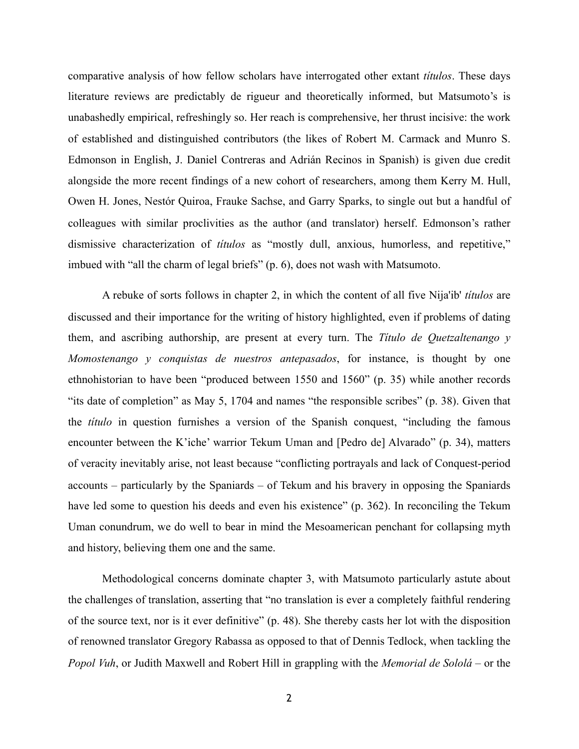comparative analysis of how fellow scholars have interrogated other extant *títulos*. These days literature reviews are predictably de rigueur and theoretically informed, but Matsumoto's is unabashedly empirical, refreshingly so. Her reach is comprehensive, her thrust incisive: the work of established and distinguished contributors (the likes of Robert M. Carmack and Munro S. Edmonson in English, J. Daniel Contreras and Adrián Recinos in Spanish) is given due credit alongside the more recent findings of a new cohort of researchers, among them Kerry M. Hull, Owen H. Jones, Nestór Quiroa, Frauke Sachse, and Garry Sparks, to single out but a handful of colleagues with similar proclivities as the author (and translator) herself. Edmonson's rather dismissive characterization of *títulos* as "mostly dull, anxious, humorless, and repetitive," imbued with "all the charm of legal briefs" (p. 6), does not wash with Matsumoto.

A rebuke of sorts follows in chapter 2, in which the content of all five Nija'ib' *títulos* are discussed and their importance for the writing of history highlighted, even if problems of dating them, and ascribing authorship, are present at every turn. The *Título de Quetzaltenango y Momostenango y conquistas de nuestros antepasados*, for instance, is thought by one ethnohistorian to have been "produced between 1550 and 1560" (p. 35) while another records "its date of completion" as May 5, 1704 and names "the responsible scribes" (p. 38). Given that the *título* in question furnishes a version of the Spanish conquest, "including the famous encounter between the K'iche' warrior Tekum Uman and [Pedro de] Alvarado" (p. 34), matters of veracity inevitably arise, not least because "conflicting portrayals and lack of Conquest-period accounts – particularly by the Spaniards – of Tekum and his bravery in opposing the Spaniards have led some to question his deeds and even his existence" (p. 362). In reconciling the Tekum Uman conundrum, we do well to bear in mind the Mesoamerican penchant for collapsing myth and history, believing them one and the same.

Methodological concerns dominate chapter 3, with Matsumoto particularly astute about the challenges of translation, asserting that "no translation is ever a completely faithful rendering of the source text, nor is it ever definitive" (p. 48). She thereby casts her lot with the disposition of renowned translator Gregory Rabassa as opposed to that of Dennis Tedlock, when tackling the *Popol Vuh*, or Judith Maxwell and Robert Hill in grappling with the *Memorial de Sololá* – or the